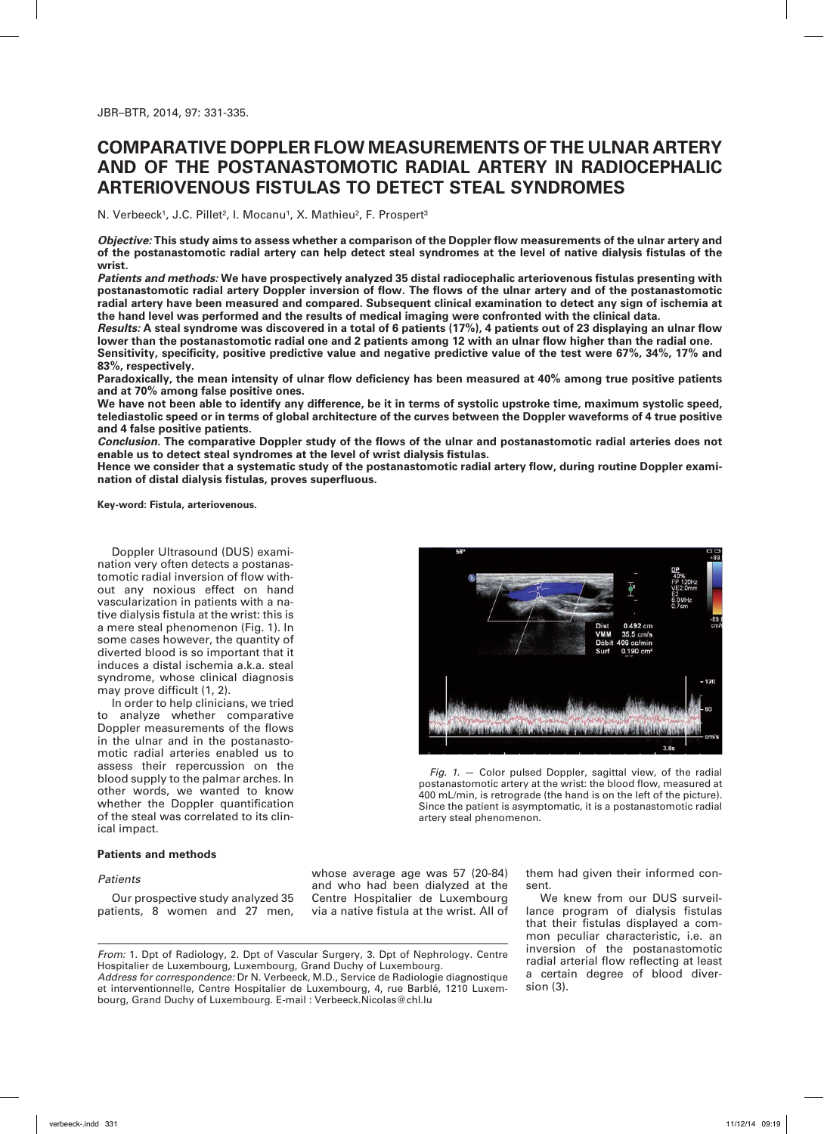# **Comparative Doppler flow measurements of the ulnar artery and of the postanastomotic radial artery in radiocephalic arteriovenous fistulas to detect steal syndromes**

N. Verbeeck<sup>1</sup>, J.C. Pillet<sup>2</sup>, I. Mocanu<sup>1</sup>, X. Mathieu<sup>2</sup>, F. Prospert<sup>3</sup>

*Objective:* **This study aims to assess whether a comparison of the Doppler flow measurements of the ulnar artery and of the postanastomotic radial artery can help detect steal syndromes at the level of native dialysis fistulas of the wrist.** 

*Patients and methods:* **We have prospectively analyzed 35 distal radiocephalic arteriovenous fistulas presenting with postanastomotic radial artery Doppler inversion of flow. The flows of the ulnar artery and of the postanastomotic radial artery have been measured and compared. Subsequent clinical examination to detect any sign of ischemia at the hand level was performed and the results of medical imaging were confronted with the clinical data.**

*Results:* **A steal syndrome was discovered in a total of 6 patients (17%), 4 patients out of 23 displaying an ulnar flow lower than the postanastomotic radial one and 2 patients among 12 with an ulnar flow higher than the radial one.**

**Sensitivity, specificity, positive predictive value and negative predictive value of the test were 67%, 34%, 17% and 83%, respectively.**

**Paradoxically, the mean intensity of ulnar flow deficiency has been measured at 40% among true positive patients and at 70% among false positive ones.**

**We have not been able to identify any difference, be it in terms of systolic upstroke time, maximum systolic speed, telediastolic speed or in terms of global architecture of the curves between the Doppler waveforms of 4 true positive and 4 false positive patients.**

*Conclusion.* **The comparative Doppler study of the flows of the ulnar and postanastomotic radial arteries does not enable us to detect steal syndromes at the level of wrist dialysis fistulas.**

**Hence we consider that a systematic study of the postanastomotic radial artery flow, during routine Doppler examination of distal dialysis fistulas, proves superfluous.** 

**Key-word: Fistula, arteriovenous.**

Doppler Ultrasound (DUS) examination very often detects a postanastomotic radial inversion of flow without any noxious effect on hand vascularization in patients with a native dialysis fistula at the wrist: this is a mere steal phenomenon (Fig. 1). In some cases however, the quantity of diverted blood is so important that it induces a distal ischemia a.k.a. steal syndrome, whose clinical diagnosis may prove difficult (1, 2).

In order to help clinicians, we tried to analyze whether comparative Doppler measurements of the flows in the ulnar and in the postanastomotic radial arteries enabled us to assess their repercussion on the blood supply to the palmar arches. In other words, we wanted to know whether the Doppler quantification of the steal was correlated to its clinical impact.

### **Patients and methods**

#### *Patients*

Our prospective study analyzed 35 patients, 8 women and 27 men,



*Fig. 1.* — Color pulsed Doppler, sagittal view, of the radial postanastomotic artery at the wrist: the blood flow, measured at 400 mL/min, is retrograde (the hand is on the left of the picture). Since the patient is asymptomatic, it is a postanastomotic radial artery steal phenomenon.

whose average age was 57 (20-84) and who had been dialyzed at the Centre Hospitalier de Luxembourg via a native fistula at the wrist. All of them had given their informed consent.

We knew from our DUS surveillance program of dialysis fistulas that their fistulas displayed a common peculiar characteristic, i.e. an inversion of the postanastomotic radial arterial flow reflecting at least a certain degree of blood diversion (3).

*From:* 1. Dpt of Radiology, 2. Dpt of Vascular Surgery, 3. Dpt of Nephrology. Centre Hospitalier de Luxembourg, Luxembourg, Grand Duchy of Luxembourg.

*Address for correspondence:* Dr N. Verbeeck, M.D., Service de Radiologie diagnostique et interventionnelle, Centre Hospitalier de Luxembourg, 4, rue Barblé, 1210 Luxembourg, Grand Duchy of Luxembourg. E-mail : Verbeeck.Nicolas@chl.lu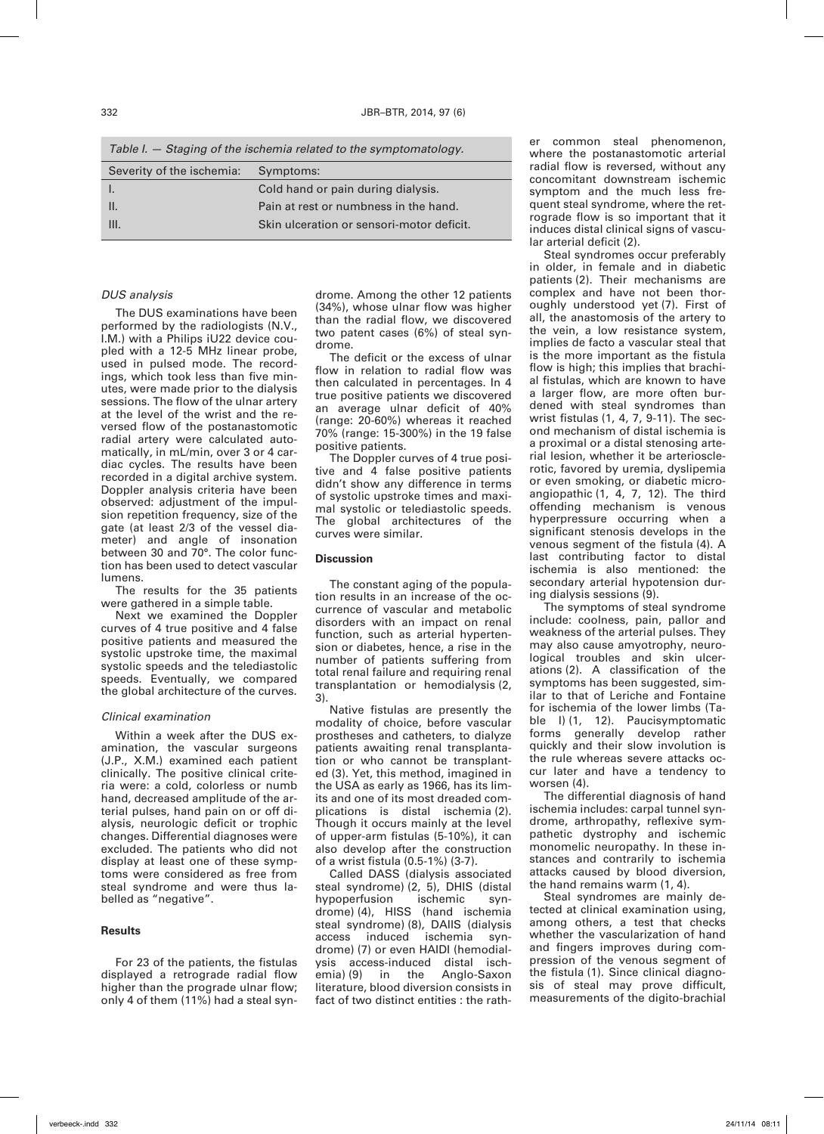*Table I. — Staging of the ischemia related to the symptomatology.*

| Severity of the ischemia: | Symptoms:                                 |
|---------------------------|-------------------------------------------|
|                           | Cold hand or pain during dialysis.        |
| Ш.                        | Pain at rest or numbness in the hand.     |
| III.                      | Skin ulceration or sensori-motor deficit. |
|                           |                                           |

### *DUS analysis*

The DUS examinations have been performed by the radiologists (N.V., I.M.) with a Philips iU22 device coupled with a 12-5 MHz linear probe, used in pulsed mode. The recordings, which took less than five minutes, were made prior to the dialysis sessions. The flow of the ulnar artery at the level of the wrist and the reversed flow of the postanastomotic radial artery were calculated automatically, in mL/min, over 3 or 4 cardiac cycles. The results have been recorded in a digital archive system. Doppler analysis criteria have been observed: adjustment of the impulsion repetition frequency, size of the gate (at least 2/3 of the vessel diameter) and angle of insonation between 30 and 70°. The color function has been used to detect vascular lumens.

The results for the 35 patients were gathered in a simple table.

Next we examined the Doppler curves of 4 true positive and 4 false positive patients and measured the systolic upstroke time, the maximal systolic speeds and the telediastolic speeds. Eventually, we compared the global architecture of the curves.

#### *Clinical examination*

Within a week after the DUS examination, the vascular surgeons (J.P., X.M.) examined each patient clinically. The positive clinical criteria were: a cold, colorless or numb hand, decreased amplitude of the arterial pulses, hand pain on or off dialysis, neurologic deficit or trophic changes. Differential diagnoses were excluded. The patients who did not display at least one of these symptoms were considered as free from steal syndrome and were thus labelled as "negative".

### **Results**

For 23 of the patients, the fistulas displayed a retrograde radial flow higher than the prograde ulnar flow; only 4 of them (11%) had a steal syndrome. Among the other 12 patients (34%), whose ulnar flow was higher than the radial flow, we discovered two patent cases (6%) of steal syndrome.

The deficit or the excess of ulnar flow in relation to radial flow was then calculated in percentages. In 4 true positive patients we discovered an average ulnar deficit of 40% (range: 20-60%) whereas it reached 70% (range: 15-300%) in the 19 false positive patients.

The Doppler curves of 4 true positive and 4 false positive patients didn't show any difference in terms of systolic upstroke times and maximal systolic or telediastolic speeds. The global architectures of the curves were similar.

#### **Discussion**

The constant aging of the population results in an increase of the occurrence of vascular and metabolic disorders with an impact on renal function, such as arterial hypertension or diabetes, hence, a rise in the number of patients suffering from total renal failure and requiring renal transplantation or hemodialysis (2, 3).

Native fistulas are presently the modality of choice, before vascular prostheses and catheters, to dialyze patients awaiting renal transplantation or who cannot be transplanted (3). Yet, this method, imagined in the USA as early as 1966, has its limits and one of its most dreaded complications is distal ischemia (2). Though it occurs mainly at the level of upper-arm fistulas (5-10%), it can also develop after the construction of a wrist fistula (0.5-1%) (3-7).

Called DASS (dialysis associated steal syndrome) (2, 5), DHIS (distal hypoperfusion ischemic syndrome) (4), HISS (hand ischemia steal syndrome) (8), DAIIS (dialysis access induced ischemia syndrome) (7) or even HAIDI (hemodialysis access-induced distal ischemia) (9) in the Anglo-Saxon literature, blood diversion consists in fact of two distinct entities : the rather common steal phenomenon, where the postanastomotic arterial radial flow is reversed, without any concomitant downstream ischemic symptom and the much less frequent steal syndrome, where the retrograde flow is so important that it induces distal clinical signs of vascular arterial deficit (2).

Steal syndromes occur preferably in older, in female and in diabetic patients (2). Their mechanisms are complex and have not been thoroughly understood yet (7). First of all, the anastomosis of the artery to the vein, a low resistance system, implies de facto a vascular steal that is the more important as the fistula flow is high; this implies that brachial fistulas, which are known to have a larger flow, are more often burdened with steal syndromes than wrist fistulas (1, 4, 7, 9-11). The second mechanism of distal ischemia is a proximal or a distal stenosing arterial lesion, whether it be arteriosclerotic, favored by uremia, dyslipemia or even smoking, or diabetic microangiopathic (1, 4, 7, 12). The third offending mechanism is venous hyperpressure occurring when a significant stenosis develops in the venous segment of the fistula (4). A last contributing factor to distal ischemia is also mentioned: the secondary arterial hypotension during dialysis sessions (9).

The symptoms of steal syndrome include: coolness, pain, pallor and weakness of the arterial pulses. They may also cause amyotrophy, neurological troubles and skin ulcerations (2). A classification of the symptoms has been suggested, similar to that of Leriche and Fontaine for ischemia of the lower limbs (Table I) (1, 12). Paucisymptomatic forms generally develop rather quickly and their slow involution is the rule whereas severe attacks occur later and have a tendency to worsen (4).

The differential diagnosis of hand ischemia includes: carpal tunnel syndrome, arthropathy, reflexive sympathetic dystrophy and ischemic monomelic neuropathy. In these instances and contrarily to ischemia attacks caused by blood diversion, the hand remains warm (1, 4).

Steal syndromes are mainly detected at clinical examination using, among others, a test that checks whether the vascularization of hand and fingers improves during compression of the venous segment of the fistula (1). Since clinical diagnosis of steal may prove difficult, measurements of the digito-brachial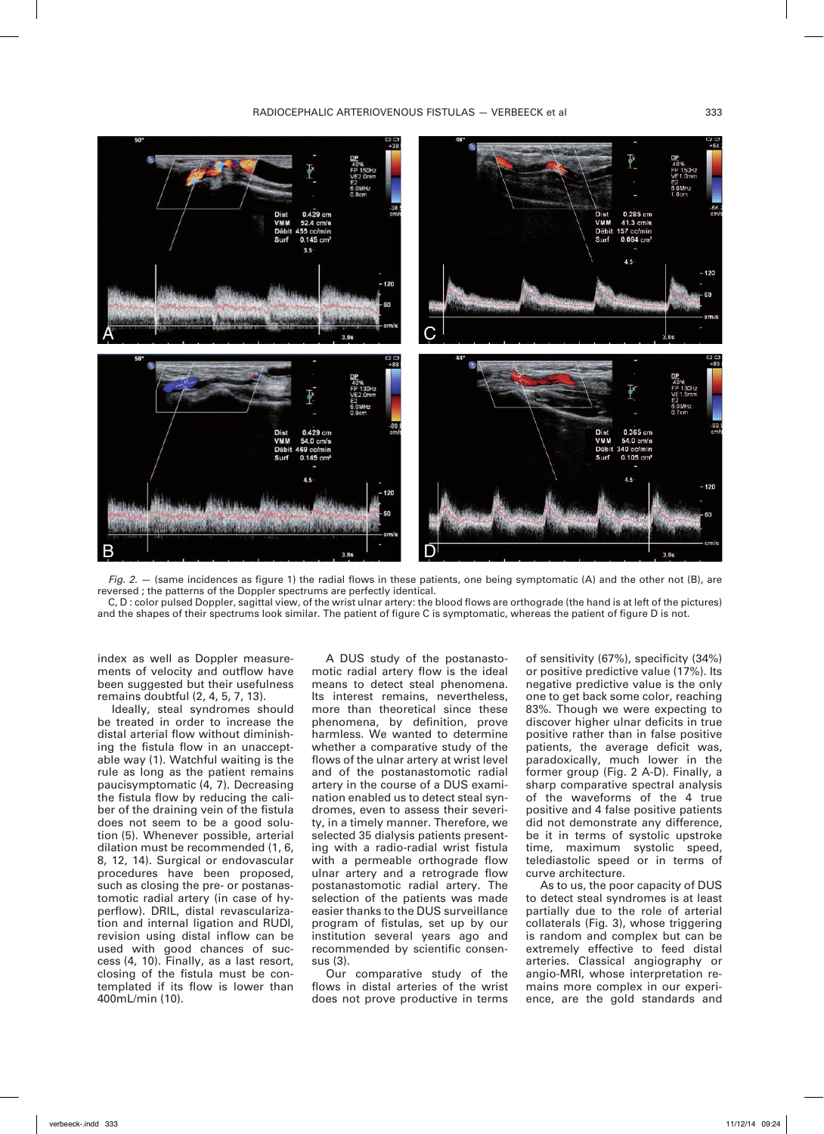

*Fig. 2.*  $-$  (same incidences as figure 1) the radial flows in these patients, one being symptomatic (A) and the other not (B), are reversed ; the patterns of the Doppler spectrums are perfectly identical.

C, D : color pulsed Doppler, sagittal view, of the wrist ulnar artery: the blood flows are orthograde (the hand is at left of the pictures) and the shapes of their spectrums look similar. The patient of figure C is symptomatic, whereas the patient of figure D is not.

index as well as Doppler measurements of velocity and outflow have been suggested but their usefulness remains doubtful (2, 4, 5, 7, 13).

Ideally, steal syndromes should be treated in order to increase the distal arterial flow without diminishing the fistula flow in an unacceptable way (1). Watchful waiting is the rule as long as the patient remains paucisymptomatic (4, 7). Decreasing the fistula flow by reducing the caliber of the draining vein of the fistula does not seem to be a good solution (5). Whenever possible, arterial dilation must be recommended (1, 6, 8, 12, 14). Surgical or endovascular procedures have been proposed, such as closing the pre- or postanastomotic radial artery (in case of hyperflow). DRIL, distal revascularization and internal ligation and RUDI, revision using distal inflow can be used with good chances of success (4, 10). Finally, as a last resort, closing of the fistula must be contemplated if its flow is lower than 400mL/min (10).

A DUS study of the postanastomotic radial artery flow is the ideal means to detect steal phenomena. Its interest remains, nevertheless, more than theoretical since these phenomena, by definition, prove harmless. We wanted to determine whether a comparative study of the flows of the ulnar artery at wrist level and of the postanastomotic radial artery in the course of a DUS examination enabled us to detect steal syndromes, even to assess their severity, in a timely manner. Therefore, we selected 35 dialysis patients presenting with a radio-radial wrist fistula with a permeable orthograde flow ulnar artery and a retrograde flow postanastomotic radial artery. The selection of the patients was made easier thanks to the DUS surveillance program of fistulas, set up by our institution several years ago and recommended by scientific consensus (3).

Our comparative study of the flows in distal arteries of the wrist does not prove productive in terms

of sensitivity (67%), specificity (34%) or positive predictive value (17%). Its negative predictive value is the only one to get back some color, reaching 83%. Though we were expecting to discover higher ulnar deficits in true positive rather than in false positive patients, the average deficit was, paradoxically, much lower in the former group (Fig. 2 A-D). Finally, a sharp comparative spectral analysis of the waveforms of the 4 true positive and 4 false positive patients did not demonstrate any difference, be it in terms of systolic upstroke time, maximum systolic speed, telediastolic speed or in terms of curve architecture.

As to us, the poor capacity of DUS to detect steal syndromes is at least partially due to the role of arterial collaterals (Fig. 3), whose triggering is random and complex but can be extremely effective to feed distal arteries. Classical angiography or angio-MRI, whose interpretation remains more complex in our experience, are the gold standards and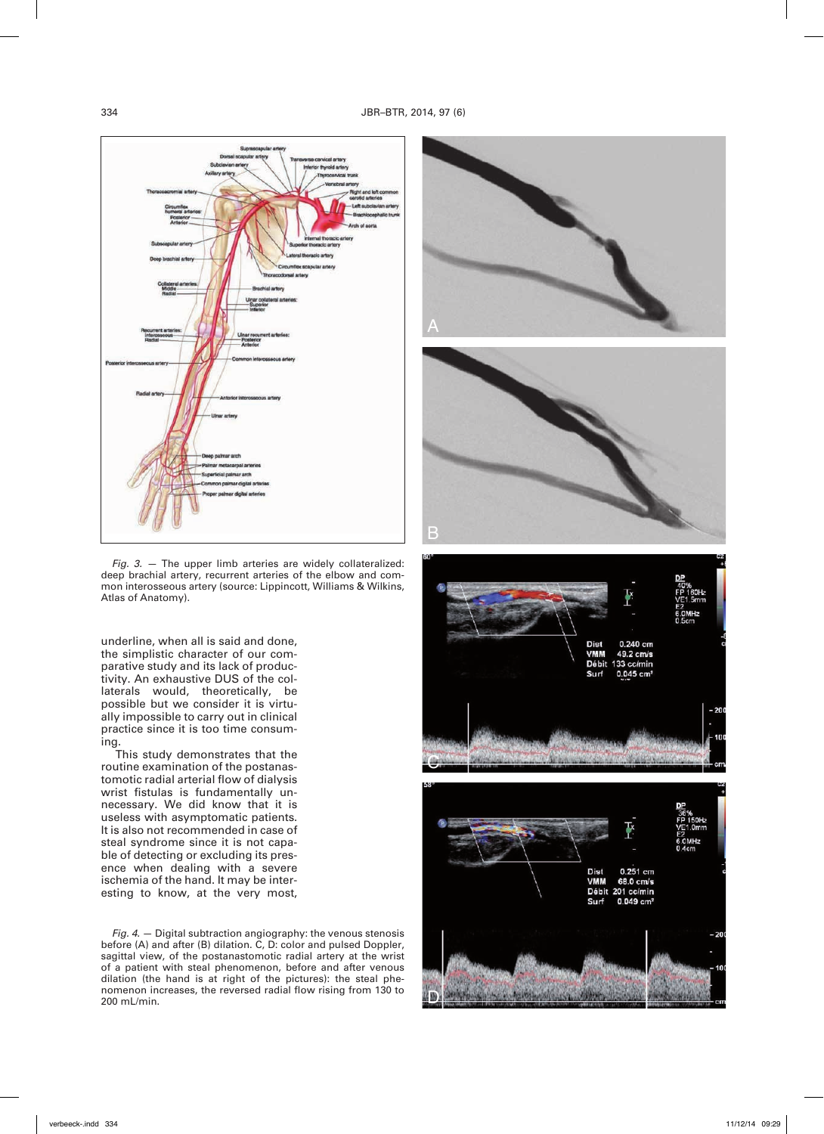

*Fig. 3. —* The upper limb arteries are widely collateralized: deep brachial artery, recurrent arteries of the elbow and common interosseous artery (source: Lippincott, Williams & Wilkins, Atlas of Anatomy).

underline, when all is said and done, the simplistic character of our comparative study and its lack of productivity. An exhaustive DUS of the collaterals would, theoretically, be possible but we consider it is virtually impossible to carry out in clinical practice since it is too time consuming.

This study demonstrates that the routine examination of the postanastomotic radial arterial flow of dialysis wrist fistulas is fundamentally unnecessary. We did know that it is useless with asymptomatic patients. It is also not recommended in case of steal syndrome since it is not capable of detecting or excluding its presence when dealing with a severe ischemia of the hand. It may be interesting to know, at the very most,

*Fig. 4.* — Digital subtraction angiography: the venous stenosis before (A) and after (B) dilation. C, D: color and pulsed Doppler, sagittal view, of the postanastomotic radial artery at the wrist of a patient with steal phenomenon, before and after venous dilation (the hand is at right of the pictures): the steal phenomenon increases, the reversed radial flow rising from 130 to 200 mL/min.